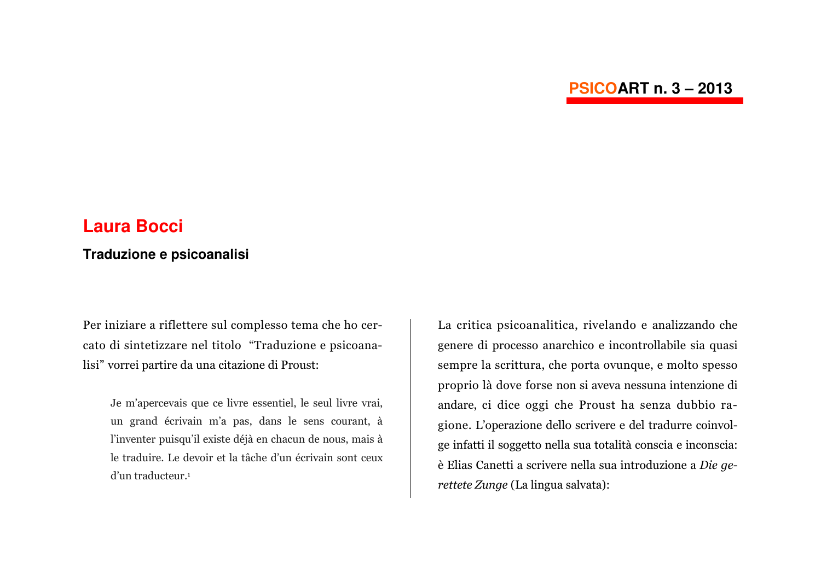# **PSICOART n. 3 - 2013**

# **Laura Bocci**

# Traduzione e psicoanalisi

Per iniziare a riflettere sul complesso tema che ho cercato di sintetizzare nel titolo "Traduzione e psicoanalisi" vorrei partire da una citazione di Proust:

Je m'apercevais que ce livre essentiel, le seul livre vrai, un grand écrivain m'a pas, dans le sens courant, à l'inventer puisqu'il existe déjà en chacun de nous, mais à le traduire. Le devoir et la tâche d'un écrivain sont ceux d'un traducteur.<sup>1</sup>

La critica psicoanalitica, rivelando e analizzando che genere di processo anarchico e incontrollabile sia quasi sempre la scrittura, che porta ovunque, e molto spesso proprio là dove forse non si aveva nessuna intenzione di andare, ci dice oggi che Proust ha senza dubbio ragione. L'operazione dello scrivere e del tradurre coinvolge infatti il soggetto nella sua totalità conscia e inconscia: è Elias Canetti a scrivere nella sua introduzione a Die gerettete Zunge (La lingua salvata):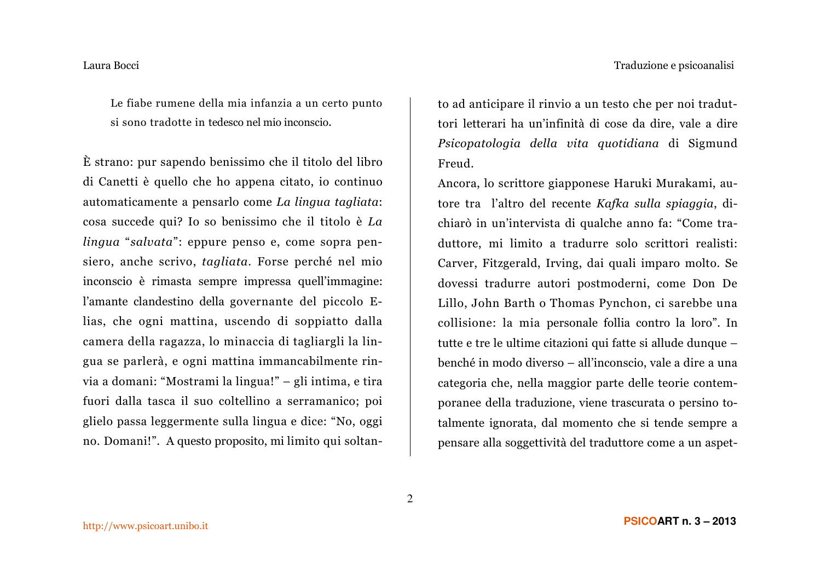Le fiabe rumene della mia infanzia a un certo punto si sono tradotte in tedesco nel mio inconscio.

È strano: pur sapendo benissimo che il titolo del libro di Canetti è quello che ho appena citato, io continuo automaticamente a pensarlo come La lingua tagliata: cosa succede qui? Io so benissimo che il titolo è La lingua "salvata": eppure penso e, come sopra pensiero, anche scrivo, tagliata. Forse perché nel mio inconscio è rimasta sempre impressa quell'immagine: l'amante clandestino della governante del piccolo Elias, che ogni mattina, uscendo di soppiatto dalla camera della ragazza, lo minaccia di tagliargli la lingua se parlerà, e ogni mattina immancabilmente rinvia a domani: "Mostrami la lingua!" – gli intima, e tira fuori dalla tasca il suo coltellino a serramanico; poi glielo passa leggermente sulla lingua e dice: "No, oggi no. Domani!". A questo proposito, mi limito qui soltanto ad anticipare il rinvio a un testo che per noi traduttori letterari ha un'infinità di cose da dire, vale a dire Psicopatologia della vita quotidiana di Sigmund Freud

Ancora, lo scrittore giapponese Haruki Murakami, autore tra l'altro del recente Kafka sulla spiaggia, dichiarò in un'intervista di qualche anno fa: "Come traduttore, mi limito a tradurre solo scrittori realisti: Carver, Fitzgerald, Irving, dai quali imparo molto. Se dovessi tradurre autori postmoderni, come Don De Lillo, John Barth o Thomas Pynchon, ci sarebbe una collisione: la mia personale follia contro la loro". In tutte e tre le ultime citazioni qui fatte si allude dunque benché in modo diverso – all'inconscio, vale a dire a una categoria che, nella maggior parte delle teorie contemporanee della traduzione, viene trascurata o persino totalmente ignorata, dal momento che si tende sempre a pensare alla soggettività del traduttore come a un aspet-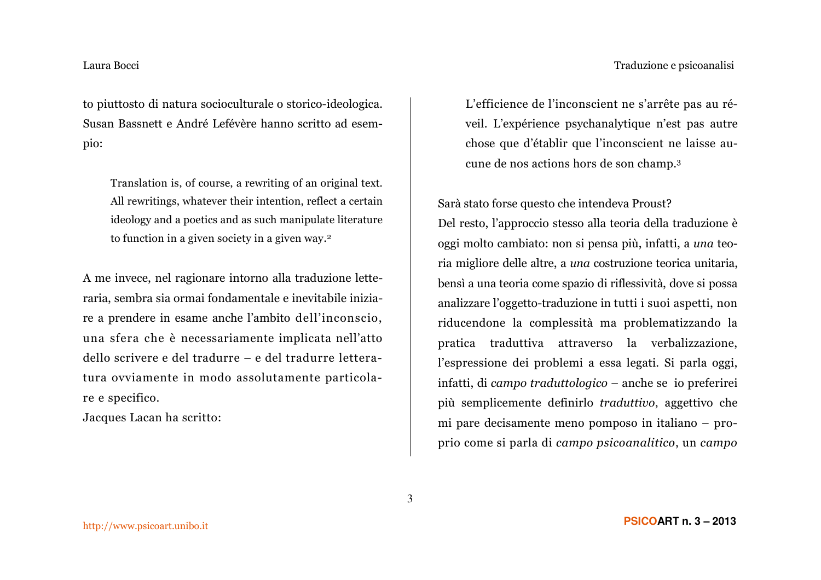# Traduzione e psicoanalisi

### Laura Bocci

to piuttosto di natura socioculturale o storico-ideologica. Susan Bassnett e André Lefévère hanno scritto ad esempio:

Translation is, of course, a rewriting of an original text. All rewritings, whatever their intention, reflect a certain ideology and a poetics and as such manipulate literature to function in a given society in a given way.<sup>2</sup>

A me invece, nel ragionare intorno alla traduzione letteraria, sembra sia ormai fondamentale e inevitabile iniziare a prendere in esame anche l'ambito dell'inconscio, una sfera che è necessariamente implicata nell'atto dello scrivere e del tradurre – e del tradurre letteratura ovviamente in modo assolutamente particolare e specifico.

Jacques Lacan ha scritto:

L'efficience de l'inconscient ne s'arrête pas au réveil. L'expérience psychanalytique n'est pas autre chose que d'établir que l'inconscient ne laisse aucune de nos actions hors de son champ.<sup>3</sup>

Sarà stato forse questo che intendeva Proust?

Del resto, l'approccio stesso alla teoria della traduzione è oggi molto cambiato: non si pensa più, infatti, a una teoria migliore delle altre, a una costruzione teorica unitaria, bensì a una teoria come spazio di riflessività, dove si possa analizzare l'oggetto-traduzione in tutti i suoi aspetti, non riducendone la complessità ma problematizzando la pratica traduttiva attraverso la verbalizzazione, l'espressione dei problemi a essa legati. Si parla oggi, infatti, di campo traduttologico – anche se io preferirei più semplicemente definirlo traduttivo, aggettivo che mi pare decisamente meno pomposo in italiano – proprio come si parla di campo psicoanalitico, un campo

3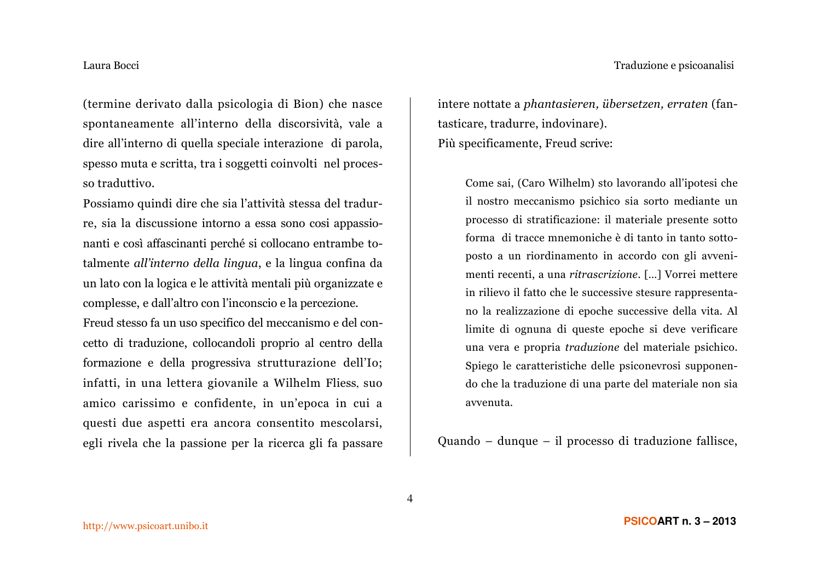(termine derivato dalla psicologia di Bion) che nasce spontaneamente all'interno della discorsività, vale a dire all'interno di quella speciale interazione di parola, spesso muta e scritta, tra i soggetti coinvolti nel processo traduttivo.

Possiamo quindi dire che sia l'attività stessa del tradurre, sia la discussione intorno a essa sono così appassionanti e così affascinanti perché si collocano entrambe totalmente *all'interno della lingua*, e la lingua confina da un lato con la logica e le attività mentali più organizzate e complesse, e dall'altro con l'inconscio e la percezione. Freud stesso fa un uso specifico del meccanismo e del concetto di traduzione, collocandoli proprio al centro della formazione e della progressiva strutturazione dell'Io; infatti, in una lettera giovanile a Wilhelm Fliess, suo amico carissimo e confidente, in un'epoca in cui a questi due aspetti era ancora consentito mescolarsi, egli rivela che la passione per la ricerca gli fa passare intere nottate a phantasieren, übersetzen, erraten (fantasticare, tradurre, indovinare). Più specificamente, Freud scrive:

Come sai, (Caro Wilhelm) sto lavorando all'ipotesi che il nostro meccanismo psichico sia sorto mediante un processo di stratificazione: il materiale presente sotto forma di tracce mnemoniche è di tanto in tanto sottoposto a un riordinamento in accordo con gli avvenimenti recenti, a una ritrascrizione. [...] Vorrei mettere in rilievo il fatto che le successive stesure rappresentano la realizzazione di epoche successive della vita. Al limite di ognuna di queste epoche si deve verificare una vera e propria traduzione del materiale psichico. Spiego le caratteristiche delle psiconevrosi supponendo che la traduzione di una parte del materiale non sia avvenuta.

Quando – dunque – il processo di traduzione fallisce,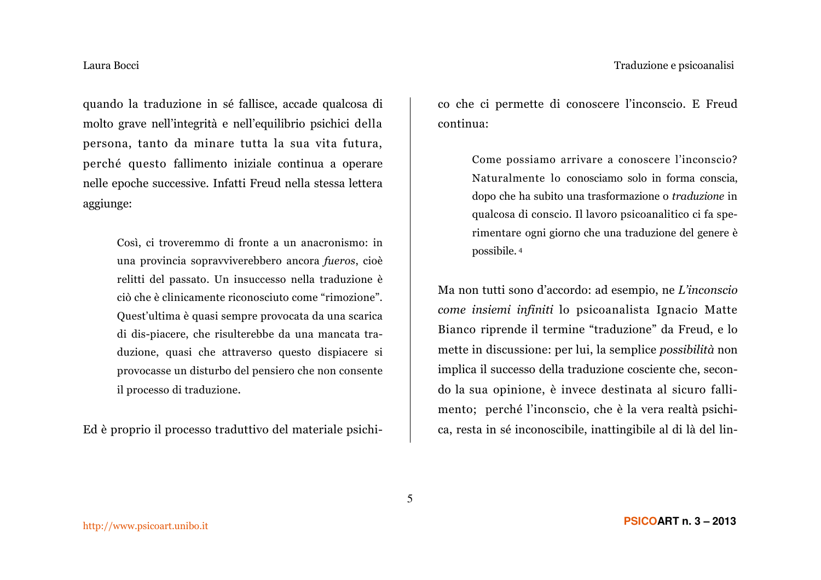# Traduzione e psicoanalisi

# Laura Bocci

quando la traduzione in sé fallisce, accade qualcosa di molto grave nell'integrità e nell'equilibrio psichici della persona, tanto da minare tutta la sua vita futura, perché questo fallimento iniziale continua a operare nelle epoche successive. Infatti Freud nella stessa lettera aggiunge:

> Così, ci troveremmo di fronte a un anacronismo: in una provincia sopravviverebbero ancora fueros, cioè relitti del passato. Un insuccesso nella traduzione è ciò che è clinicamente riconosciuto come "rimozione". Quest'ultima è quasi sempre provocata da una scarica di dis-piacere, che risulterebbe da una mancata traduzione, quasi che attraverso questo dispiacere si provocasse un disturbo del pensiero che non consente il processo di traduzione.

Ed è proprio il processo traduttivo del materiale psichi-

co che ci permette di conoscere l'inconscio. E Freud continua:

> Come possiamo arrivare a conoscere l'inconscio? Naturalmente lo conosciamo solo in forma conscia, dopo che ha subito una trasformazione o *traduzione* in qualcosa di conscio. Il lavoro psicoanalitico ci fa sperimentare ogni giorno che una traduzione del genere è possibile.<sup>4</sup>

Ma non tutti sono d'accordo: ad esempio, ne L'inconscio come insiemi infiniti lo psicoanalista Ignacio Matte Bianco riprende il termine "traduzione" da Freud, e lo mette in discussione: per lui, la semplice possibilità non implica il successo della traduzione cosciente che, secondo la sua opinione, è invece destinata al sicuro fallimento; perché l'inconscio, che è la vera realtà psichica, resta in sé inconoscibile, inattingibile al di là del lin-

5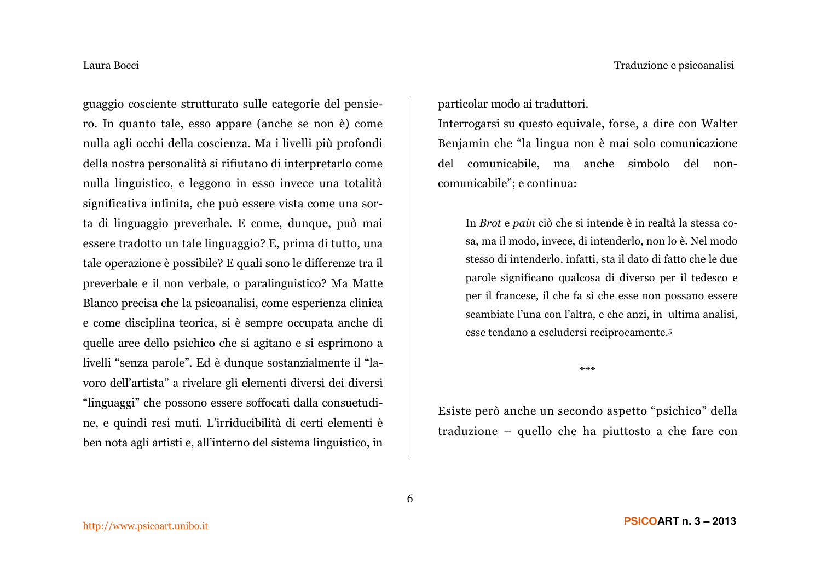guaggio cosciente strutturato sulle categorie del pensiero. In quanto tale, esso appare (anche se non è) come nulla agli occhi della coscienza. Ma i livelli più profondi della nostra personalità si rifiutano di interpretarlo come nulla linguistico, e leggono in esso invece una totalità significativa infinita, che può essere vista come una sorta di linguaggio preverbale. E come, dunque, può mai essere tradotto un tale linguaggio? E, prima di tutto, una tale operazione è possibile? E quali sono le differenze tra il preverbale e il non verbale, o paralinguistico? Ma Matte Blanco precisa che la psicoanalisi, come esperienza clinica e come disciplina teorica, si è sempre occupata anche di quelle aree dello psichico che si agitano e si esprimono a livelli "senza parole". Ed è dunque sostanzialmente il "lavoro dell'artista" a rivelare gli elementi diversi dei diversi "linguaggi" che possono essere soffocati dalla consuetudine, e quindi resi muti. L'irriducibilità di certi elementi è ben nota agli artisti e, all'interno del sistema linguistico, in

particolar modo ai traduttori.

Interrogarsi su questo equivale, forse, a dire con Walter Benjamin che "la lingua non è mai solo comunicazione del comunicabile, ma anche simbolo del noncomunicabile"; e continua:

In Brot e pain ciò che si intende è in realtà la stessa cosa, ma il modo, invece, di intenderlo, non lo è. Nel modo stesso di intenderlo, infatti, sta il dato di fatto che le due parole significano qualcosa di diverso per il tedesco e per il francese, il che fa sì che esse non possano essere scambiate l'una con l'altra, e che anzi, in ultima analisi, esse tendano a escludersi reciprocamente.<sup>5</sup>

 $***$ 

Esiste però anche un secondo aspetto "psichico" della traduzione – quello che ha piuttosto a che fare con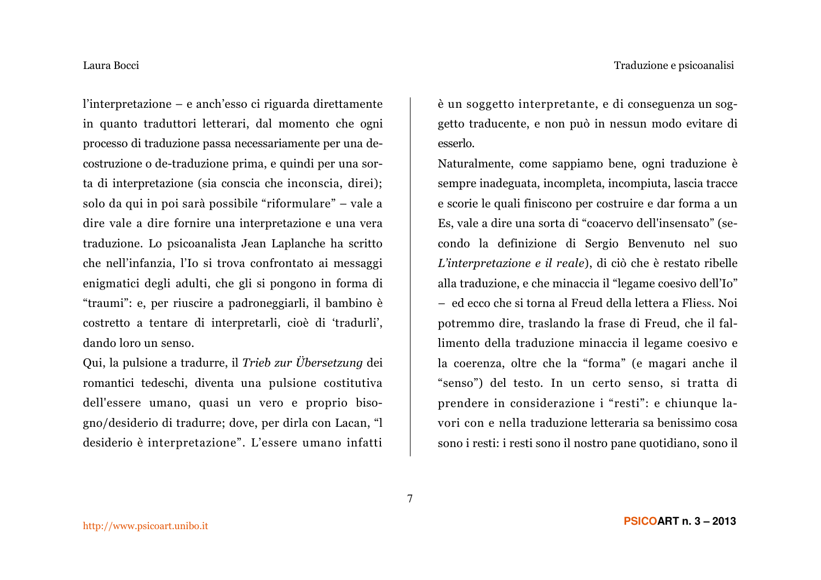l'interpretazione – e anch'esso ci riguarda direttamente in quanto traduttori letterari, dal momento che ogni processo di traduzione passa necessariamente per una decostruzione o de-traduzione prima, e quindi per una sorta di interpretazione (sia conscia che inconscia, direi); solo da qui in poi sarà possibile "riformulare" – vale a dire vale a dire fornire una interpretazione e una vera traduzione. Lo psicoanalista Jean Laplanche ha scritto che nell'infanzia, l'Io si trova confrontato ai messaggi enigmatici degli adulti, che gli si pongono in forma di "traumi": e, per riuscire a padroneggiarli, il bambino è costretto a tentare di interpretarli, cioè di 'tradurli', dando loro un senso.

Qui, la pulsione a tradurre, il Trieb zur Übersetzung dei romantici tedeschi, diventa una pulsione costitutiva dell'essere umano, quasi un vero e proprio bisogno/desiderio di tradurre; dove, per dirla con Lacan, "l desiderio è interpretazione". L'essere umano infatti

è un soggetto interpretante, e di conseguenza un soggetto traducente, e non può in nessun modo evitare di esserlo.

Naturalmente, come sappiamo bene, ogni traduzione è sempre inadeguata, incompleta, incompiuta, lascia tracce e scorie le quali finiscono per costruire e dar forma a un Es, vale a dire una sorta di "coacervo dell'insensato" (secondo la definizione di Sergio Benvenuto nel suo L'interpretazione e il reale), di ciò che è restato ribelle alla traduzione, e che minaccia il "legame coesivo dell'Io" - ed ecco che si torna al Freud della lettera a Fliess. Noi potremmo dire, traslando la frase di Freud, che il fallimento della traduzione minaccia il legame coesivo e la coerenza, oltre che la "forma" (e magari anche il "senso") del testo. In un certo senso, si tratta di prendere in considerazione i "resti": e chiunque lavori con e nella traduzione letteraria sa benissimo cosa sono i resti: i resti sono il nostro pane quotidiano, sono il

 $\overline{7}$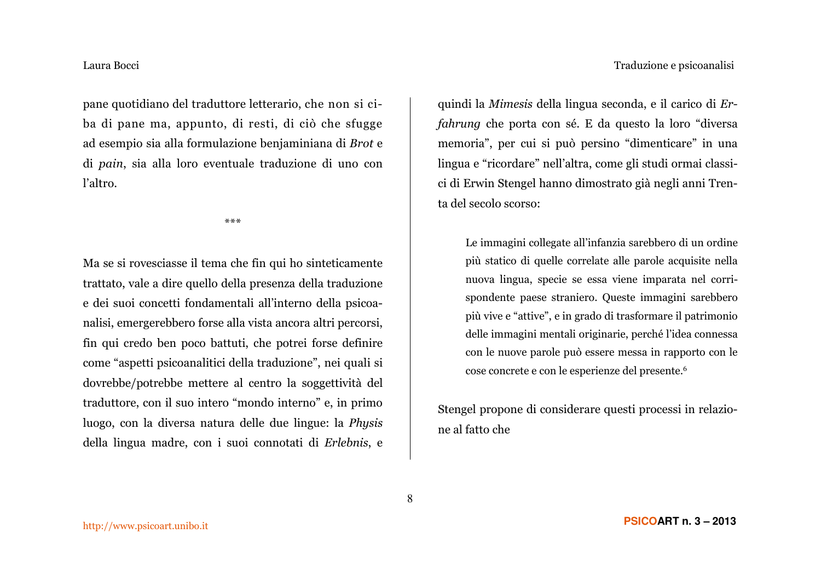pane quotidiano del traduttore letterario, che non si ciba di pane ma, appunto, di resti, di ciò che sfugge ad esempio sia alla formulazione benjaminiana di Brot e di pain, sia alla loro eventuale traduzione di uno con l'altro.

 $***$ 

Ma se si rovesciasse il tema che fin qui ho sinteticamente trattato, vale a dire quello della presenza della traduzione e dei suoi concetti fondamentali all'interno della psicoanalisi, emergerebbero forse alla vista ancora altri percorsi, fin qui credo ben poco battuti, che potrei forse definire come "aspetti psicoanalitici della traduzione", nei quali si dovrebbe/potrebbe mettere al centro la soggettività del traduttore, con il suo intero "mondo interno" e, in primo luogo, con la diversa natura delle due lingue: la Physis della lingua madre, con i suoi connotati di Erlebnis, e

quindi la Mimesis della lingua seconda, e il carico di Er*fahrung* che porta con sé. E da questo la loro "diversa" memoria", per cui si può persino "dimenticare" in una lingua e "ricordare" nell'altra, come gli studi ormai classici di Erwin Stengel hanno dimostrato già negli anni Trenta del secolo scorso:

Le immagini collegate all'infanzia sarebbero di un ordine più statico di quelle correlate alle parole acquisite nella nuova lingua, specie se essa viene imparata nel corrispondente paese straniero. Queste immagini sarebbero più vive e "attive", e in grado di trasformare il patrimonio delle immagini mentali originarie, perché l'idea connessa con le nuove parole può essere messa in rapporto con le cose concrete e con le esperienze del presente.<sup>6</sup>

Stengel propone di considerare questi processi in relazione al fatto che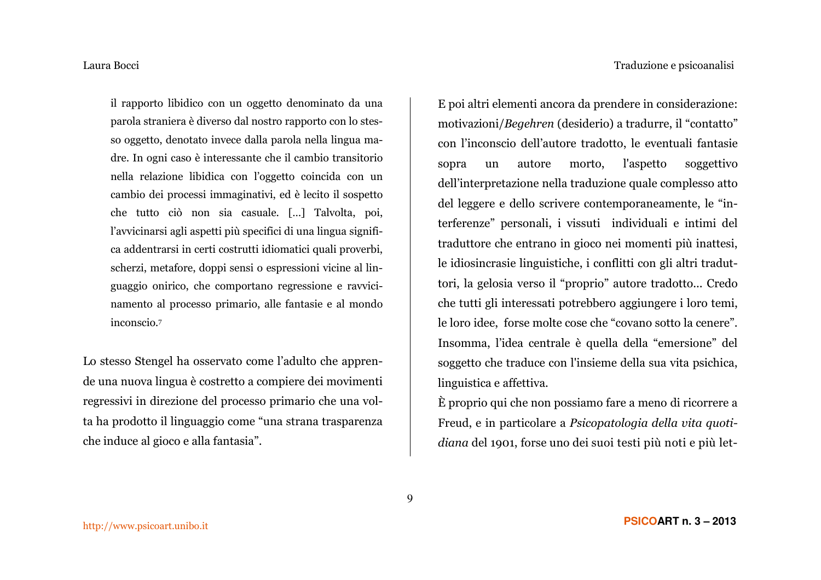il rapporto libidico con un oggetto denominato da una parola straniera è diverso dal nostro rapporto con lo stesso oggetto, denotato invece dalla parola nella lingua madre. In ogni caso è interessante che il cambio transitorio nella relazione libidica con l'oggetto coincida con un cambio dei processi immaginativi, ed è lecito il sospetto che tutto ciò non sia casuale. [...] Talvolta, poi, l'avvicinarsi agli aspetti più specifici di una lingua significa addentrarsi in certi costrutti idiomatici quali proverbi, scherzi, metafore, doppi sensi o espressioni vicine al linguaggio onirico, che comportano regressione e ravvicinamento al processo primario, alle fantasie e al mondo inconscio.7

Lo stesso Stengel ha osservato come l'adulto che apprende una nuova lingua è costretto a compiere dei movimenti regressivi in direzione del processo primario che una volta ha prodotto il linguaggio come "una strana trasparenza che induce al gioco e alla fantasia".

E poi altri elementi ancora da prendere in considerazione: motivazioni/Begehren (desiderio) a tradurre, il "contatto" con l'inconscio dell'autore tradotto, le eventuali fantasie autore morto. *l'aspetto* soggettivo sopra  $\mathbf{u}$ dell'interpretazione nella traduzione quale complesso atto del leggere e dello scrivere contemporaneamente, le "interferenze" personali, i vissuti individuali e intimi del traduttore che entrano in gioco nei momenti più inattesi, le idiosincrasie linguistiche, i conflitti con gli altri traduttori, la gelosia verso il "proprio" autore tradotto... Credo che tutti gli interessati potrebbero aggiungere i loro temi, le loro idee, forse molte cose che "covano sotto la cenere". Insomma, l'idea centrale è quella della "emersione" del soggetto che traduce con l'insieme della sua vita psichica, linguistica e affettiva.

È proprio qui che non possiamo fare a meno di ricorrere a Freud, e in particolare a Psicopatologia della vita quotidiana del 1901, forse uno dei suoi testi più noti e più let-

9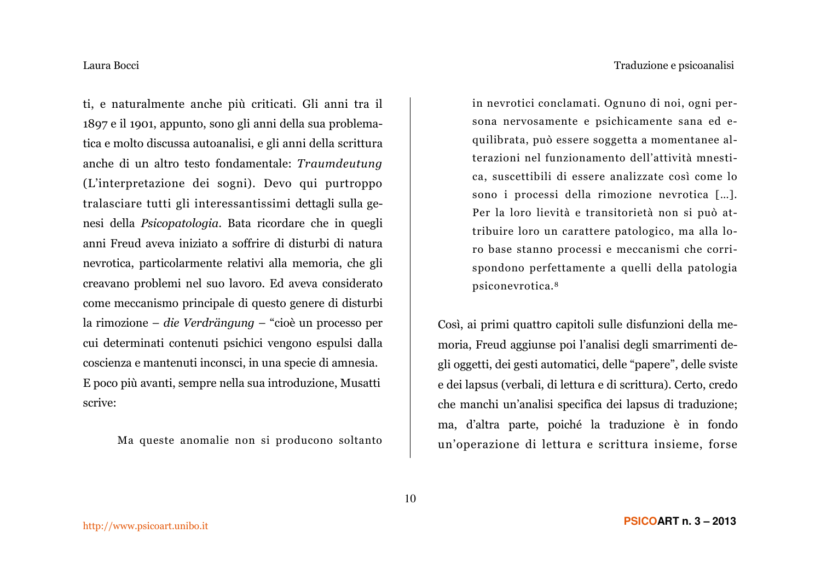# Traduzione e psicoanalisi

# Laura Bocci

ti, e naturalmente anche più criticati. Gli anni tra il 1897 e il 1901, appunto, sono gli anni della sua problematica e molto discussa autoanalisi, e gli anni della scrittura anche di un altro testo fondamentale: Traumdeutung (L'interpretazione dei sogni). Devo qui purtroppo tralasciare tutti gli interessantissimi dettagli sulla genesi della *Psicopatologia*. Bata ricordare che in quegli anni Freud aveva iniziato a soffrire di disturbi di natura nevrotica, particolarmente relativi alla memoria, che gli creavano problemi nel suo lavoro. Ed aveva considerato come meccanismo principale di questo genere di disturbi la rimozione – die Verdrängung – "cioè un processo per cui determinati contenuti psichici vengono espulsi dalla coscienza e mantenuti inconsci, in una specie di amnesia. E poco più avanti, sempre nella sua introduzione, Musatti scrive:

Ma queste anomalie non si producono soltanto

in nevrotici conclamati. Ognuno di noi, ogni persona nervosamente e psichicamente sana ed equilibrata, può essere soggetta a momentanee alterazioni nel funzionamento dell'attività mnestica, suscettibili di essere analizzate così come lo sono i processi della rimozione nevrotica [...]. Per la loro lievità e transitorietà non si può attribuire loro un carattere patologico, ma alla loro base stanno processi e meccanismi che corrispondono perfettamente a quelli della patologia psiconevrotica.<sup>8</sup>

Così, ai primi quattro capitoli sulle disfunzioni della memoria, Freud aggiunse poi l'analisi degli smarrimenti degli oggetti, dei gesti automatici, delle "papere", delle sviste e dei lapsus (verbali, di lettura e di scrittura). Certo, credo che manchi un'analisi specifica dei lapsus di traduzione; ma, d'altra parte, poiché la traduzione è in fondo un'operazione di lettura e scrittura insieme, forse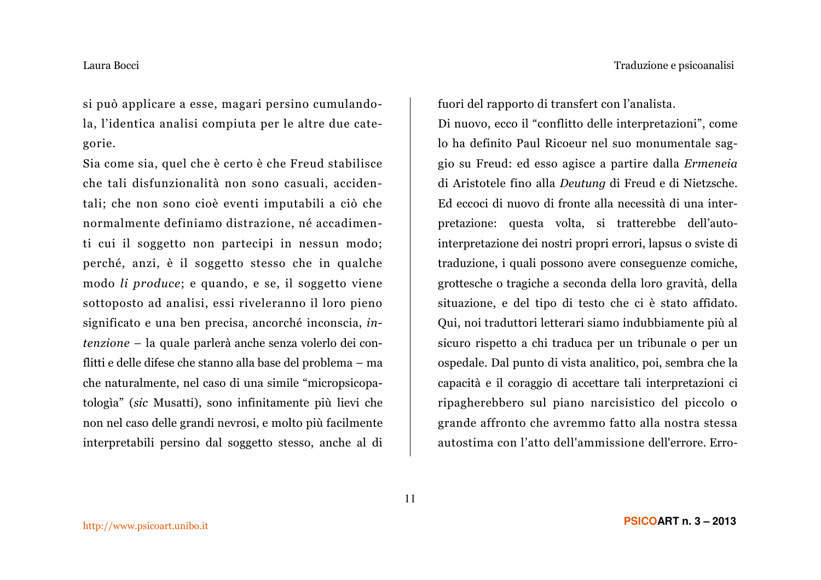si può applicare a esse, magari persino cumulandola, l'identica analisi compiuta per le altre due categorie.

Sia come sia, quel che è certo è che Freud stabilisce che tali disfunzionalità non sono casuali, accidentali; che non sono cioè eventi imputabili a ciò che normalmente definiamo distrazione, né accadimenti cui il soggetto non partecipi in nessun modo; perché, anzi, è il soggetto stesso che in qualche modo li produce; e quando, e se, il soggetto viene sottoposto ad analisi, essi riveleranno il loro pieno significato e una ben precisa, ancorché inconscia, intenzione – la quale parlerà anche senza volerlo dei conflitti e delle difese che stanno alla base del problema - ma che naturalmente, nel caso di una simile "micropsicopatologia" (sic Musatti), sono infinitamente più lievi che non nel caso delle grandi nevrosi, e molto più facilmente interpretabili persino dal soggetto stesso, anche al di

fuori del rapporto di transfert con l'analista.

Di nuovo, ecco il "conflitto delle interpretazioni", come lo ha definito Paul Ricoeur nel suo monumentale saggio su Freud: ed esso agisce a partire dalla Ermeneia di Aristotele fino alla Deutung di Freud e di Nietzsche. Ed eccoci di nuovo di fronte alla necessità di una interpretazione: questa volta, si tratterebbe dell'autointerpretazione dei nostri propri errori, lapsus o sviste di traduzione, i quali possono avere conseguenze comiche, grottesche o tragiche a seconda della loro gravità, della situazione, e del tipo di testo che ci è stato affidato. Qui, noi traduttori letterari siamo indubbiamente più al sicuro rispetto a chi traduca per un tribunale o per un ospedale. Dal punto di vista analitico, poi, sembra che la capacità e il coraggio di accettare tali interpretazioni ci ripagherebbero sul piano narcisistico del piccolo o grande affronto che avremmo fatto alla nostra stessa autostima con l'atto dell'ammissione dell'errore. Erro-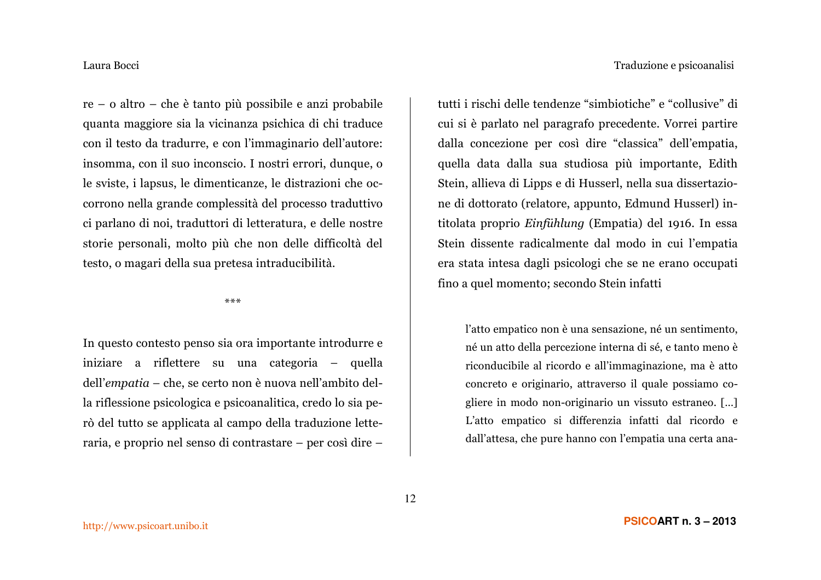$re - o$  altro – che è tanto più possibile e anzi probabile quanta maggiore sia la vicinanza psichica di chi traduce con il testo da tradurre, e con l'immaginario dell'autore: insomma, con il suo inconscio. I nostri errori, dunque, o le sviste, i lapsus, le dimenticanze, le distrazioni che occorrono nella grande complessità del processo traduttivo ci parlano di noi, traduttori di letteratura, e delle nostre storie personali, molto più che non delle difficoltà del testo, o magari della sua pretesa intraducibilità.

 $* * *$ 

In questo contesto penso sia ora importante introdurre e iniziare a riflettere su una categoria – quella dell'empatia – che, se certo non è nuova nell'ambito della riflessione psicologica e psicoanalitica, credo lo sia però del tutto se applicata al campo della traduzione letteraria, e proprio nel senso di contrastare – per così dire –

tutti i rischi delle tendenze "simbiotiche" e "collusive" di cui si è parlato nel paragrafo precedente. Vorrei partire dalla concezione per così dire "classica" dell'empatia, quella data dalla sua studiosa più importante. Edith Stein, allieva di Lipps e di Husserl, nella sua dissertazione di dottorato (relatore, appunto, Edmund Husserl) intitolata proprio Einfühlung (Empatia) del 1916. In essa Stein dissente radicalmente dal modo in cui l'empatia era stata intesa dagli psicologi che se ne erano occupati fino a quel momento; secondo Stein infatti

l'atto empatico non è una sensazione, né un sentimento, né un atto della percezione interna di sé, e tanto meno è riconducibile al ricordo e all'immaginazione, ma è atto concreto e originario, attraverso il quale possiamo cogliere in modo non-originario un vissuto estraneo. [...] L'atto empatico si differenzia infatti dal ricordo e dall'attesa, che pure hanno con l'empatia una certa ana-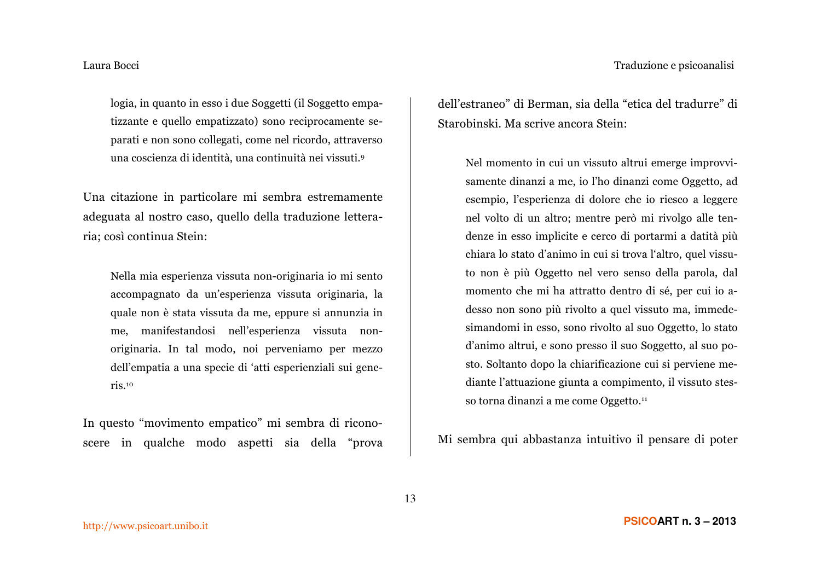logia, in quanto in esso i due Soggetti (il Soggetto empatizzante e quello empatizzato) sono reciprocamente separati e non sono collegati, come nel ricordo, attraverso una coscienza di identità, una continuità nei vissuti.<sup>9</sup>

Una citazione in particolare mi sembra estremamente adeguata al nostro caso, quello della traduzione letteraria; così continua Stein:

Nella mia esperienza vissuta non-originaria io mi sento accompagnato da un'esperienza vissuta originaria, la quale non è stata vissuta da me, eppure si annunzia in me, manifestandosi nell'esperienza vissuta nonoriginaria. In tal modo, noi perveniamo per mezzo dell'empatia a una specie di 'atti esperienziali sui gene $ris.^{10}$ 

In questo "movimento empatico" mi sembra di riconoscere in qualche modo aspetti sia della "prova dell'estraneo" di Berman, sia della "etica del tradurre" di Starobinski. Ma scrive ancora Stein:

Nel momento in cui un vissuto altrui emerge improvvisamente dinanzi a me, io l'ho dinanzi come Oggetto, ad esempio. l'esperienza di dolore che io riesco a leggere nel volto di un altro; mentre però mi rivolgo alle tendenze in esso implicite e cerco di portarmi a datità più chiara lo stato d'animo in cui si trova l'altro, quel vissuto non è più Oggetto nel vero senso della parola, dal momento che mi ha attratto dentro di sé, per cui io adesso non sono più rivolto a quel vissuto ma, immedesimandomi in esso, sono rivolto al suo Oggetto, lo stato d'animo altrui, e sono presso il suo Soggetto, al suo posto. Soltanto dopo la chiarificazione cui si perviene mediante l'attuazione giunta a compimento, il vissuto stesso torna dinanzi a me come Oggetto.<sup>11</sup>

Mi sembra qui abbastanza intuitivo il pensare di poter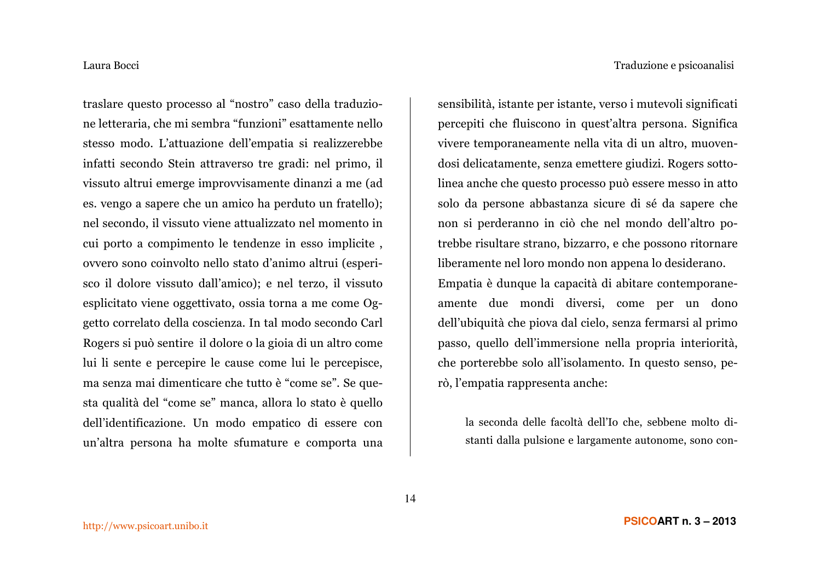traslare questo processo al "nostro" caso della traduzione letteraria, che mi sembra "funzioni" esattamente nello stesso modo. L'attuazione dell'empatia si realizzerebbe infatti secondo Stein attraverso tre gradi: nel primo, il vissuto altrui emerge improvvisamente dinanzi a me (ad es. vengo a sapere che un amico ha perduto un fratello); nel secondo, il vissuto viene attualizzato nel momento in cui porto a compimento le tendenze in esso implicite, ovvero sono coinvolto nello stato d'animo altrui (esperisco il dolore vissuto dall'amico); e nel terzo, il vissuto esplicitato viene oggettivato, ossia torna a me come Oggetto correlato della coscienza. In tal modo secondo Carl Rogers si può sentire il dolore o la gioia di un altro come lui li sente e percepire le cause come lui le percepisce, ma senza mai dimenticare che tutto è "come se". Se questa qualità del "come se" manca, allora lo stato è quello dell'identificazione. Un modo empatico di essere con un'altra persona ha molte sfumature e comporta una

sensibilità, istante per istante, verso i mutevoli significati percepiti che fluiscono in quest'altra persona. Significa vivere temporaneamente nella vita di un altro, muovendosi delicatamente, senza emettere giudizi. Rogers sottolinea anche che questo processo può essere messo in atto solo da persone abbastanza sicure di sé da sapere che non si perderanno in ciò che nel mondo dell'altro potrebbe risultare strano, bizzarro, e che possono ritornare liberamente nel loro mondo non appena lo desiderano. Empatia è dunque la capacità di abitare contemporaneamente due mondi diversi, come per un dono dell'ubiquità che piova dal cielo, senza fermarsi al primo passo, quello dell'immersione nella propria interiorità, che porterebbe solo all'isolamento. In questo senso, però, l'empatia rappresenta anche:

la seconda delle facoltà dell'Io che, sebbene molto distanti dalla pulsione e largamente autonome, sono con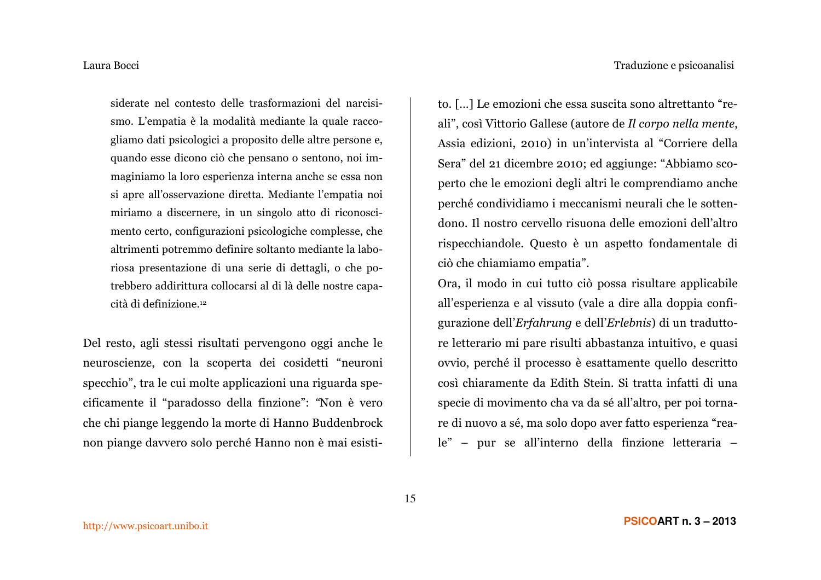siderate nel contesto delle trasformazioni del narcisismo. L'empatia è la modalità mediante la quale raccogliamo dati psicologici a proposito delle altre persone e, quando esse dicono ciò che pensano o sentono, noi immaginiamo la loro esperienza interna anche se essa non si apre all'osservazione diretta. Mediante l'empatia noi miriamo a discernere, in un singolo atto di riconoscimento certo, configurazioni psicologiche complesse, che altrimenti potremmo definire soltanto mediante la laboriosa presentazione di una serie di dettagli, o che potrebbero addirittura collocarsi al di là delle nostre capacità di definizione.<sup>12</sup>

Del resto, agli stessi risultati pervengono oggi anche le neuroscienze, con la scoperta dei cosidetti "neuroni specchio", tra le cui molte applicazioni una riguarda specificamente il "paradosso della finzione": "Non è vero che chi piange leggendo la morte di Hanno Buddenbrock non piange davvero solo perché Hanno non è mai esistito. [...] Le emozioni che essa suscita sono altrettanto "reali", così Vittorio Gallese (autore de Il corpo nella mente, Assia edizioni, 2010) in un'intervista al "Corriere della Sera" del 21 dicembre 2010; ed aggiunge: "Abbiamo scoperto che le emozioni degli altri le comprendiamo anche perché condividiamo i meccanismi neurali che le sottendono. Il nostro cervello risuona delle emozioni dell'altro rispecchiandole. Questo è un aspetto fondamentale di ciò che chiamiamo empatia".

Ora, il modo in cui tutto ciò possa risultare applicabile all'esperienza e al vissuto (vale a dire alla doppia configurazione dell'Erfahrung e dell'Erlebnis) di un traduttore letterario mi pare risulti abbastanza intuitivo, e quasi ovvio, perché il processo è esattamente quello descritto così chiaramente da Edith Stein. Si tratta infatti di una specie di movimento cha va da sé all'altro, per poi tornare di nuovo a sé, ma solo dopo aver fatto esperienza "reale" - pur se all'interno della finzione letteraria -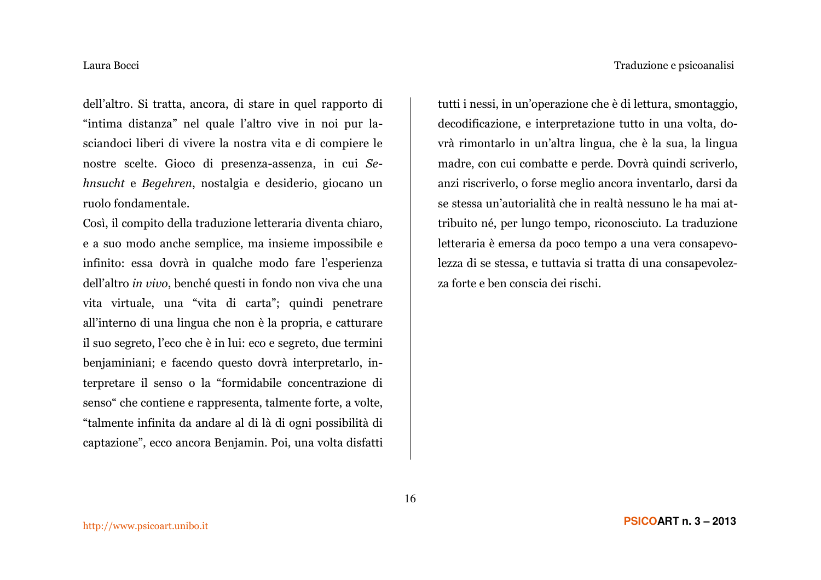dell'altro. Si tratta, ancora, di stare in quel rapporto di "intima distanza" nel quale l'altro vive in noi pur lasciandoci liberi di vivere la nostra vita e di compiere le nostre scelte. Gioco di presenza-assenza, in cui Sehnsucht e Begehren, nostalgia e desiderio, giocano un ruolo fondamentale.

Così, il compito della traduzione letteraria diventa chiaro, e a suo modo anche semplice, ma insieme impossibile e infinito: essa dovrà in qualche modo fare l'esperienza dell'altro in vivo, benché questi in fondo non viva che una vita virtuale, una "vita di carta"; quindi penetrare all'interno di una lingua che non è la propria, e catturare il suo segreto, l'eco che è in lui: eco e segreto, due termini benjaminiani; e facendo questo dovrà interpretarlo, interpretare il senso o la "formidabile concentrazione di senso" che contiene e rappresenta, talmente forte, a volte, "talmente infinita da andare al di là di ogni possibilità di captazione", ecco ancora Benjamin. Poi, una volta disfatti

tutti i nessi, in un'operazione che è di lettura, smontaggio, decodificazione, e interpretazione tutto in una volta, dovrà rimontarlo in un'altra lingua, che è la sua, la lingua madre, con cui combatte e perde. Dovrà quindi scriverlo, anzi riscriverlo, o forse meglio ancora inventarlo, darsi da se stessa un'autorialità che in realtà nessuno le ha mai attribuito né, per lungo tempo, riconosciuto. La traduzione letteraria è emersa da poco tempo a una vera consapevolezza di se stessa, e tuttavia si tratta di una consapevolezza forte e ben conscia dei rischi.